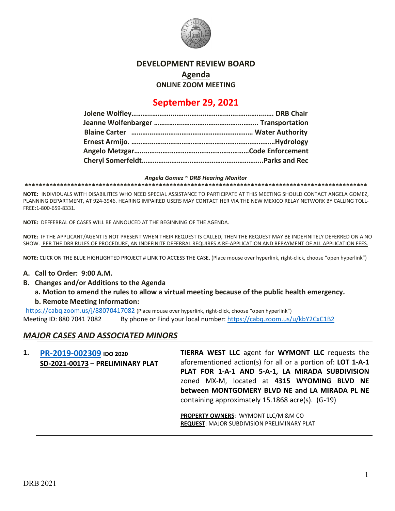

## **DEVELOPMENT REVIEW BOARD**

**Agenda**

**ONLINE ZOOM MEETING**

# **September 29, 2021**

#### *Angela Gomez ~ DRB Hearing Monitor*

**\*\*\*\*\*\*\*\*\*\*\*\*\*\*\*\*\*\*\*\*\*\*\*\*\*\*\*\*\*\*\*\*\*\*\*\*\*\*\*\*\*\*\*\*\*\*\*\*\*\*\*\*\*\*\*\*\*\*\*\*\*\*\*\*\*\*\*\*\*\*\*\*\*\*\*\*\*\*\*\*\*\*\*\*\*\*\*\*\*\*\*\*\*\*\*\*\***

**NOTE:** INDIVIDUALS WITH DISABILITIES WHO NEED SPECIAL ASSISTANCE TO PARTICIPATE AT THIS MEETING SHOULD CONTACT ANGELA GOMEZ, PLANNING DEPARTMENT, AT 924-3946. HEARING IMPAIRED USERS MAY CONTACT HER VIA THE NEW MEXICO RELAY NETWORK BY CALLING TOLL-FREE:1-800-659-8331.

**NOTE:** DEFFERRAL OF CASES WILL BE ANNOUCED AT THE BEGINNING OF THE AGENDA.

**NOTE:** IF THE APPLICANT/AGENT IS NOT PRESENT WHEN THEIR REQUEST IS CALLED, THEN THE REQUEST MAY BE INDEFINITELY DEFERRED ON A NO SHOW. PER THE DRB RULES OF PROCEDURE, AN INDEFINITE DEFERRAL REQUIRES A RE-APPLICATION AND REPAYMENT OF ALL APPLICATION FEES.

**NOTE:** CLICK ON THE BLUE HIGHLIGHTED PROJECT # LINK TO ACCESS THE CASE. (Place mouse over hyperlink, right-click, choose "open hyperlink")

#### **A. Call to Order: 9:00 A.M.**

- **B. Changes and/or Additions to the Agenda**
	- **a. Motion to amend the rules to allow a virtual meeting because of the public health emergency. b. Remote Meeting Information:**

https://cabq.zoom.us/j/88070417082 (Place mouse over hyperlink, right-click, choose "open hyperlink") Meeting ID: 880 7041 7082 By phone or Find your local number: https://cabq.zoom.us/u/kbY2CxC1B2

### *MAJOR CASES AND ASSOCIATED MINORS*

| 1. | PR-2019-002309 IDO 2020          | <b>TIERRA WEST LLC</b> agent for <b>WYMONT LLC</b> requests the |
|----|----------------------------------|-----------------------------------------------------------------|
|    | SD-2021-00173 - PRELIMINARY PLAT | aforementioned action(s) for all or a portion of: LOT 1-A-1     |
|    |                                  | PLAT FOR 1-A-1 AND 5-A-1, LA MIRADA SUBDIVISION                 |
|    |                                  | zoned MX-M, located at 4315 WYOMING BLVD NE                     |
|    |                                  | between MONTGOMERY BLVD NE and LA MIRADA PL NE                  |
|    |                                  | containing approximately 15.1868 acre(s). (G-19)                |
|    |                                  | <b>PROPERTY OWNERS: WYMONT LLC/M &amp;M CO</b>                  |
|    |                                  | <b>REQUEST: MAJOR SUBDIVISION PRELIMINARY PLAT</b>              |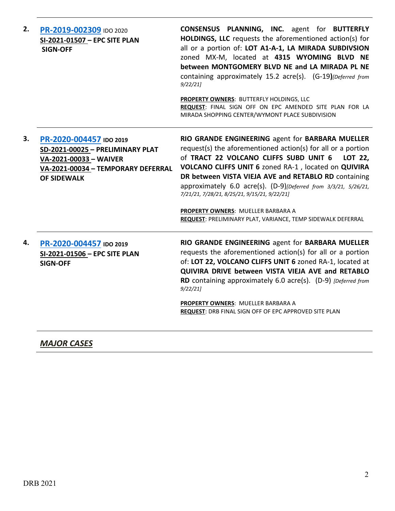| 2. | PR-2019-002309 IDO 2020<br>SI-2021-01507 - EPC SITE PLAN<br><b>SIGN-OFF</b>                                                                       | CONSENSUS PLANNING, INC. agent for BUTTERFLY<br>HOLDINGS, LLC requests the aforementioned action(s) for<br>all or a portion of: LOT A1-A-1, LA MIRADA SUBDIVSION<br>zoned MX-M, located at 4315 WYOMING BLVD NE<br>between MONTGOMERY BLVD NE and LA MIRADA PL NE<br>containing approximately 15.2 acre(s). (G-19)[Deferred from<br>9/22/21                                                                                                                                                                   |
|----|---------------------------------------------------------------------------------------------------------------------------------------------------|---------------------------------------------------------------------------------------------------------------------------------------------------------------------------------------------------------------------------------------------------------------------------------------------------------------------------------------------------------------------------------------------------------------------------------------------------------------------------------------------------------------|
|    |                                                                                                                                                   | PROPERTY OWNERS: BUTTERFLY HOLDINGS, LLC<br>REQUEST: FINAL SIGN OFF ON EPC AMENDED SITE PLAN FOR LA<br>MIRADA SHOPPING CENTER/WYMONT PLACE SUBDIVISION                                                                                                                                                                                                                                                                                                                                                        |
| 3. | PR-2020-004457 IDO 2019<br>SD-2021-00025 - PRELIMINARY PLAT<br>VA-2021-00033 - WAIVER<br>VA-2021-00034 - TEMPORARY DEFERRAL<br><b>OF SIDEWALK</b> | RIO GRANDE ENGINEERING agent for BARBARA MUELLER<br>request(s) the aforementioned action(s) for all or a portion<br>of TRACT 22 VOLCANO CLIFFS SUBD UNIT 6<br>LOT 22,<br>VOLCANO CLIFFS UNIT 6 zoned RA-1, located on QUIVIRA<br>DR between VISTA VIEJA AVE and RETABLO RD containing<br>approximately 6.0 acre(s). (D-9)[Deferred from 3/3/21, 5/26/21,<br>7/21/21, 7/28/21, 8/25/21, 9/15/21, 9/22/21]<br>PROPERTY OWNERS: MUELLER BARBARA A<br>REQUEST: PRELIMINARY PLAT, VARIANCE, TEMP SIDEWALK DEFERRAL |
| 4. | PR-2020-004457 IDO 2019<br>SI-2021-01506 - EPC SITE PLAN<br><b>SIGN-OFF</b>                                                                       | RIO GRANDE ENGINEERING agent for BARBARA MUELLER<br>requests the aforementioned action(s) for all or a portion<br>of: LOT 22, VOLCANO CLIFFS UNIT 6 zoned RA-1, located at<br>QUIVIRA DRIVE between VISTA VIEJA AVE and RETABLO<br>RD containing approximately 6.0 acre(s). (D-9) [Deferred from<br>9/22/21<br>PROPERTY OWNERS: MUELLER BARBARA A<br><b>REQUEST: DRB FINAL SIGN OFF OF EPC APPROVED SITE PLAN</b>                                                                                             |

# *MAJOR CASES*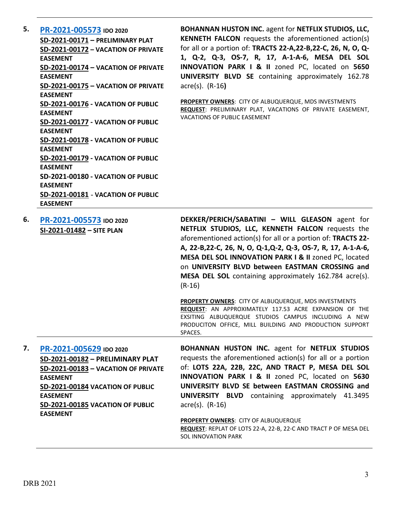| 5. | PR-2021-005573 IDO 2020                    |
|----|--------------------------------------------|
|    | SD-2021-00171 - PRELIMINARY PLAT           |
|    | SD-2021-00172 - VACATION OF PRIVATE        |
|    | <b>FASFMENT</b>                            |
|    | <b>SD-2021-00174 - VACATION OF PRIVATE</b> |
|    | <b>EASEMENT</b>                            |
|    | <b>SD-2021-00175 - VACATION OF PRIVATE</b> |
|    | <b>FASFMENT</b>                            |
|    | SD-2021-00176 - VACATION OF PUBLIC         |
|    | <b>FASFMENT</b>                            |
|    | <b>SD-2021-00177 - VACATION OF PUBLIC</b>  |
|    | <b>EASEMENT</b>                            |
|    | SD-2021-00178 - VACATION OF PUBLIC         |
|    | <b>FASFMENT</b>                            |
|    | <b>SD-2021-00179 - VACATION OF PUBLIC</b>  |
|    | <b>EASEMENT</b>                            |
|    | SD-2021-00180 - VACATION OF PUBLIC         |
|    | <b>EASEMENT</b>                            |
|    | SD-2021-00181 - VACATION OF PUBLIC         |
|    | <b>EASEMENT</b>                            |
|    |                                            |

**BOHANNAN HUSTON INC.** agent for **NETFLIX STUDIOS, LLC, KENNETH FALCON** requests the aforementioned action(s) for all or a portion of: **TRACTS 22-A,22-B,22-C, 26, N, O, Q-1, Q-2, Q-3, OS-7, R, 17, A-1-A-6, MESA DEL SOL INNOVATION PARK I & II** zoned PC, located on **5650 UNIVERSITY BLVD SE** containing approximately 162.78 acre(s). (R-16**)**

**PROPERTY OWNERS**: CITY OF ALBUQUERQUE, MDS INVESTMENTS **REQUEST**: PRELIMINARY PLAT, VACATIONS OF PRIVATE EASEMENT, VACATIONS OF PUBLIC EASEMENT

| 6. | PR-2021-005573 IDO 2020<br>SI-2021-01482 - SITE PLAN | DEKKER/PERICH/SABATINI - WILL GLEASON agent for<br>NETFLIX STUDIOS, LLC, KENNETH FALCON requests the<br>aforementioned action(s) for all or a portion of: <b>TRACTS 22-</b><br>A, 22-B, 22-C, 26, N, O, Q-1, Q-2, Q-3, OS-7, R, 17, A-1-A-6,<br>MESA DEL SOL INNOVATION PARK I & II zoned PC, located<br>on UNIVERSITY BLVD between EASTMAN CROSSING and |
|----|------------------------------------------------------|----------------------------------------------------------------------------------------------------------------------------------------------------------------------------------------------------------------------------------------------------------------------------------------------------------------------------------------------------------|
|    |                                                      | MESA DEL SOL containing approximately 162.784 acre(s).<br>$(R-16)$                                                                                                                                                                                                                                                                                       |
|    |                                                      | <b>PROPERTY OWNERS: CITY OF ALBUQUERQUE, MDS INVESTMENTS</b><br>REQUEST: AN APPROXIMATELY 117.53 ACRE EXPANSION OF THE<br>EXSITING ALBUQUERQUE STUDIOS CAMPUS INCLUDING A NEW<br>PRODUCITON OFFICE, MILL BUILDING AND PRODUCTION SUPPORT<br>SPACES.                                                                                                      |
| 7. | PR-2021-005629 IDO 2020                              | <b>BOHANNAN HUSTON INC. agent for NETFLIX STUDIOS</b>                                                                                                                                                                                                                                                                                                    |

**SD-2021-00182 – PRELIMINARY PLAT SD-2021-00183 – VACATION OF PRIVATE EASEMENT SD-2021-00184 VACATION OF PUBLIC EASEMENT SD-2021-00185 VACATION OF PUBLIC EASEMENT**

requests the aforementioned action(s) for all or a portion of: **LOTS 22A, 22B, 22C, AND TRACT P, MESA DEL SOL INNOVATION PARK I & II** zoned PC, located on **5630 UNIVERSITY BLVD SE between EASTMAN CROSSING and UNIVERSITY BLVD** containing approximately 41.3495 acre(s). (R-16)

**PROPERTY OWNERS**: CITY OF ALBUQUERQUE **REQUEST**: REPLAT OF LOTS 22-A, 22-B, 22-C AND TRACT P OF MESA DEL SOL INNOVATION PARK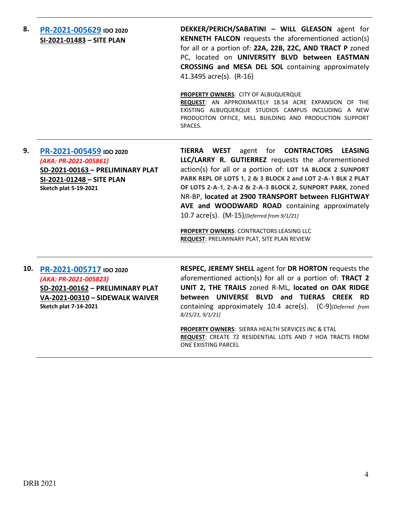**8. [PR-2021-005629](http://data.cabq.gov/government/planning/DRB/PR-2021-005629/DRB%20Submittals/PR-2021-005629_Sept_29_2021%20(PP,%20VPRE,%20VPE%20x2,%20Site%20P.)/Application/Dekker_Perich_Sabatini%20(Site%20Plan)/Albuquerque%20Studios%20Expansion%20-%20DRB%20North%20Submittal%209.3.2021.pdf) IDO 2020 SI-2021-01483 – SITE PLAN DEKKER/PERICH/SABATINI – WILL GLEASON** agent for **KENNETH FALCON** requests the aforementioned action(s) for all or a portion of: **22A, 22B, 22C, AND TRACT P** zoned PC, located on **UNIVERSITY BLVD between EASTMAN CROSSING and MESA DEL SOL** containing approximately 41.3495 acre(s). (R-16) **PROPERTY OWNERS**: CITY OF ALBUQUERQUE

**REQUEST**: AN APPROXIMATELY 18.54 ACRE EXPANSION OF THE EXISTING ALBUQUERQUE STUDIOS CAMPUS INCLUDING A NEW PRODUCITON OFFICE, MILL BUILDING AND PRODUCTION SUPPORT SPACES.

**9. [PR-2021-005459](http://data.cabq.gov/government/planning/DRB/PR-2021-005459/DRB%20Submittals/) IDO 2020** *(AKA: PR-2021-005861)* **SD-2021-00163 – PRELIMINARY PLAT SI-2021-01248 – SITE PLAN Sketch plat 5-19-2021**

**TIERRA WEST** agent for **CONTRACTORS LEASING LLC/LARRY R. GUTIERREZ** requests the aforementioned action(s) for all or a portion of: **LOT 1A BLOCK 2 SUNPORT PARK REPL OF LOTS 1, 2 & 3 BLOCK 2 and LOT 2-A-1 BLK 2 PLAT OF LOTS 2-A-1, 2-A-2 & 2-A-3 BLOCK 2, SUNPORT PARK,** zoned NR-BP, **located at 2900 TRANSPORT between FLIGHTWAY AVE and WOODWARD ROAD** containing approximately 10.7 acre(s). (M-15)*[Deferred from 9/1/21]*

**PROPERTY OWNERS**: CONTRACTORS LEASING LLC **REQUEST**: PRELIMINARY PLAT, SITE PLAN REVIEW

**10. [PR-2021-005717](http://data.cabq.gov/government/planning/DRB/PR-2021-005717/DRB%20Submittals/) IDO 2020** *(AKA: PR-2021-005823)* **SD-2021-00162 – PRELIMINARY PLAT VA-2021-00310 – SIDEWALK WAIVER**

**Sketch plat 7-14-2021**

**RESPEC, JEREMY SHELL** agent for **DR HORTON** requests the aforementioned action(s) for all or a portion of: **TRACT 2 UNIT 2, THE TRAILS** zoned R-ML, **located on OAK RIDGE between UNIVERSE BLVD and TIJERAS CREEK RD** containing approximately 10.4 acre(s). (C-9)*(Deferred from 8/25/21, 9/1/21]*

**PROPERTY OWNERS**: SIERRA HEALTH SERVICES INC & ETAL **REQUEST**: CREATE 72 RESIDENTIAL LOTS AND 7 HOA TRACTS FROM ONE EXISTING PARCEL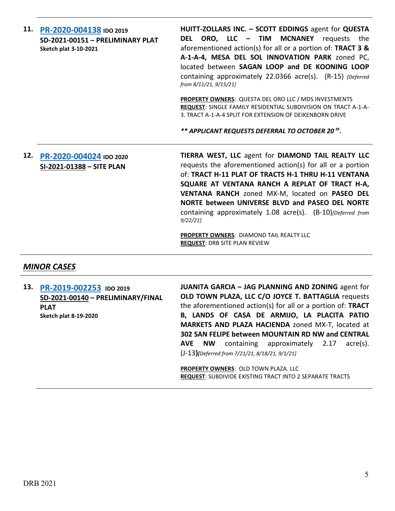| 11. PR-2020-004138 IDO 2019<br>SD-2021-00151 - PRELIMINARY PLAT<br><b>Sketch plat 3-10-2021</b> | HUITT-ZOLLARS INC. - SCOTT EDDINGS agent for QUESTA<br>DEL ORO, LLC – TIM MCNANEY<br>requests the<br>aforementioned action(s) for all or a portion of: TRACT 3 &<br>A-1-A-4, MESA DEL SOL INNOVATION PARK zoned PC,<br>located between SAGAN LOOP and DE KOONING LOOP<br>containing approximately 22.0366 acre(s). (R-15) {Deferred<br>from 8/11/21, 9/15/21]                                            |
|-------------------------------------------------------------------------------------------------|----------------------------------------------------------------------------------------------------------------------------------------------------------------------------------------------------------------------------------------------------------------------------------------------------------------------------------------------------------------------------------------------------------|
|                                                                                                 | <b>PROPERTY OWNERS:</b> QUESTA DEL ORO LLC / MDS INVESTMENTS<br>REQUEST: SINGLE FAMILY RESIDENTIAL SUBDIVISION ON TRACT A-1-A-<br>3. TRACT A-1-A-4 SPLIT FOR EXTENSION OF DEIKENBORN DRIVE<br>** APPLICANT REQUESTS DEFERRAL TO OCTOBER 20 <sup>th</sup> .                                                                                                                                               |
| 12. PR-2020-004024 IDO 2020<br>SI-2021-01388 - SITE PLAN                                        | TIERRA WEST, LLC agent for DIAMOND TAIL REALTY LLC<br>requests the aforementioned action(s) for all or a portion<br>of: TRACT H-11 PLAT OF TRACTS H-1 THRU H-11 VENTANA<br>SQUARE AT VENTANA RANCH A REPLAT OF TRACT H-A,<br>VENTANA RANCH zoned MX-M, located on PASEO DEL<br>NORTE between UNIVERSE BLVD and PASEO DEL NORTE<br>containing approximately 1.08 acre(s). (B-10)[Deferred from<br>9/22/21 |

**PROPERTY OWNERS**: DIAMOND TAIL REALTY LLC **REQUEST**: DRB SITE PLAN REVIEW

### *MINOR CASES*

**13. [PR-2019-002253](http://data.cabq.gov/government/planning/DRB/PR-2019-002253/DRB%20Submittals/) IDO 2019 SD-2021-00140 – PRELIMINARY/FINAL PLAT Sketch plat 8-19-2020 JUANITA GARCIA – JAG PLANNING AND ZONING** agent for **OLD TOWN PLAZA, LLC C/O JOYCE T. BATTAGLIA** requests the aforementioned action(s) for all or a portion of: **TRACT B, LANDS OF CASA DE ARMIJO, LA PLACITA PATIO MARKETS AND PLAZA HACIENDA** zoned MX-T, located at **302 SAN FELIPE between MOUNTAIN RD NW and CENTRAL AVE NW** containing approximately 2.17 acre(s). (J-13**)***[Deferred from 7/21/21, 8/18/21, 9/1/21]*

> **PROPERTY OWNERS: OLD TOWN PLAZA. LLC REQUEST**: SUBDIVIDE EXISTING TRACT INTO 2 SEPARATE TRACTS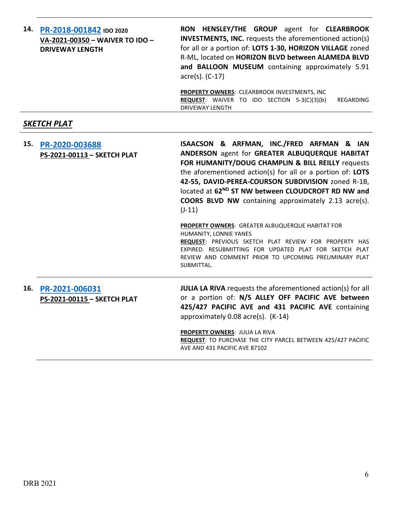| 14. | PR-2018-001842 IDO 2020<br>VA-2021-00350 - WAIVER TO IDO -<br><b>DRIVEWAY LENGTH</b> | RON HENSLEY/THE GROUP agent for CLEARBROOK<br><b>INVESTMENTS, INC.</b> requests the aforementioned action(s)<br>for all or a portion of: LOTS 1-30, HORIZON VILLAGE zoned<br>R-ML, located on HORIZON BLVD between ALAMEDA BLVD<br>and BALLOON MUSEUM containing approximately 5.91<br>acre(s). (C-17)                                                                                                            |
|-----|--------------------------------------------------------------------------------------|-------------------------------------------------------------------------------------------------------------------------------------------------------------------------------------------------------------------------------------------------------------------------------------------------------------------------------------------------------------------------------------------------------------------|
|     |                                                                                      | PROPERTY OWNERS: CLEARBROOK INVESTMENTS, INC<br><b>REQUEST:</b> WAIVER TO IDO SECTION 5-3(C)(3)(b)<br>REGARDING<br><b>DRIVEWAY LENGTH</b>                                                                                                                                                                                                                                                                         |
|     | <b>SKETCH PLAT</b>                                                                   |                                                                                                                                                                                                                                                                                                                                                                                                                   |
| 15. | PR-2020-003688<br>PS-2021-00113 - SKETCH PLAT                                        | ISAACSON & ARFMAN, INC./FRED ARFMAN & IAN<br>ANDERSON agent for GREATER ALBUQUERQUE HABITAT<br>FOR HUMANITY/DOUG CHAMPLIN & BILL REILLY requests<br>the aforementioned action(s) for all or a portion of: LOTS<br>42-55, DAVID-PEREA-COURSON SUBDIVISION zoned R-1B,<br>located at 62 <sup>ND</sup> ST NW between CLOUDCROFT RD NW and<br><b>COORS BLVD NW</b> containing approximately 2.13 acre(s).<br>$(J-11)$ |
|     |                                                                                      | PROPERTY OWNERS: GREATER ALBUQUERQUE HABITAT FOR<br>HUMANITY, LONNIE YANES<br>REQUEST: PREVIOUS SKETCH PLAT REVIEW FOR PROPERTY HAS<br>EXPIRED. RESUBMITTING FOR UPDATED PLAT FOR SKETCH PLAT<br>REVIEW AND COMMENT PRIOR TO UPCOMING PRELIMINARY PLAT<br>SUBMITTAL.                                                                                                                                              |
| 16. | PR-2021-006031<br>PS-2021-00115 - SKETCH PLAT                                        | <b>JULIA LA RIVA</b> requests the aforementioned action(s) for all<br>or a portion of: N/S ALLEY OFF PACIFIC AVE between<br>425/427 PACIFIC AVE and 431 PACIFIC AVE containing<br>approximately 0.08 acre(s). (K-14)                                                                                                                                                                                              |
|     |                                                                                      | <b>PROPERTY OWNERS: JULIA LA RIVA</b><br>REQUEST: TO PURCHASE THE CITY PARCEL BETWEEN 425/427 PACIFIC<br>AVE AND 431 PACIFIC AVE 87102                                                                                                                                                                                                                                                                            |